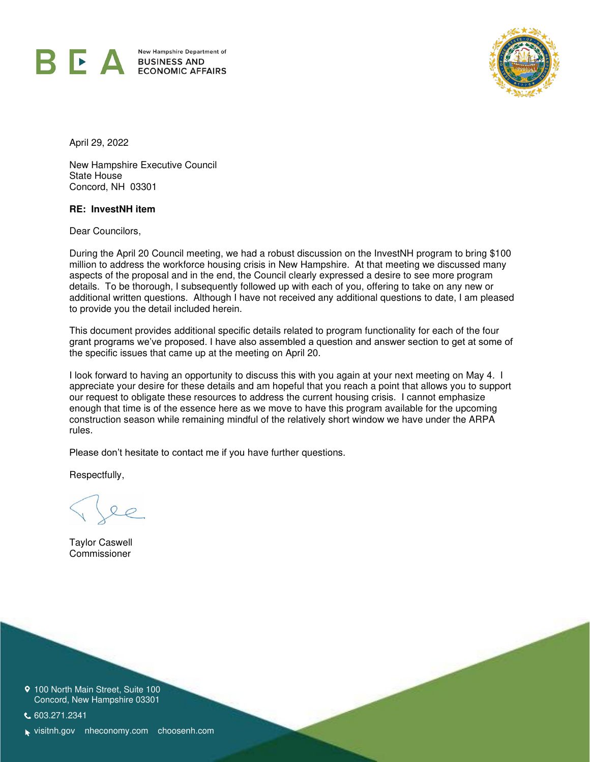

BUSINESS AIN ECONOMIC AFFAIR



April 29, 2022

New Hampshire Executive Council State House Concord, NH 03301

#### **RE: InvestNH item**

Dear Councilors,

During the April 20 Council meeting, we had a robust discussion on the InvestNH program to bring \$100 million to address the workforce housing crisis in New Hampshire. At that meeting we discussed many aspects of the proposal and in the end, the Council clearly expressed a desire to see more program details. To be thorough, I subsequently followed up with each of you, offering to take on any new or additional written questions. Although I have not received any additional questions to date, I am pleased to provide you the detail included herein.

This document provides additional specific details related to program functionality for each of the four grant programs we've proposed. I have also assembled a question and answer section to get at some of the specific issues that came up at the meeting on April 20.

I look forward to having an opportunity to discuss this with you again at your next meeting on May 4. I appreciate your desire for these details and am hopeful that you reach a point that allows you to support our request to obligate these resources to address the current housing crisis. I cannot emphasize enough that time is of the essence here as we move to have this program available for the upcoming construction season while remaining mindful of the relatively short window we have under the ARPA rules.

Please don't hesitate to contact me if you have further questions.

Respectfully,

Taylor Caswell Commissioner

9 100 North Main Street, Suite 100 Concord, New Hampshire 03301

603.271.2341

visitnh.gov nheconomy.com choosenh.com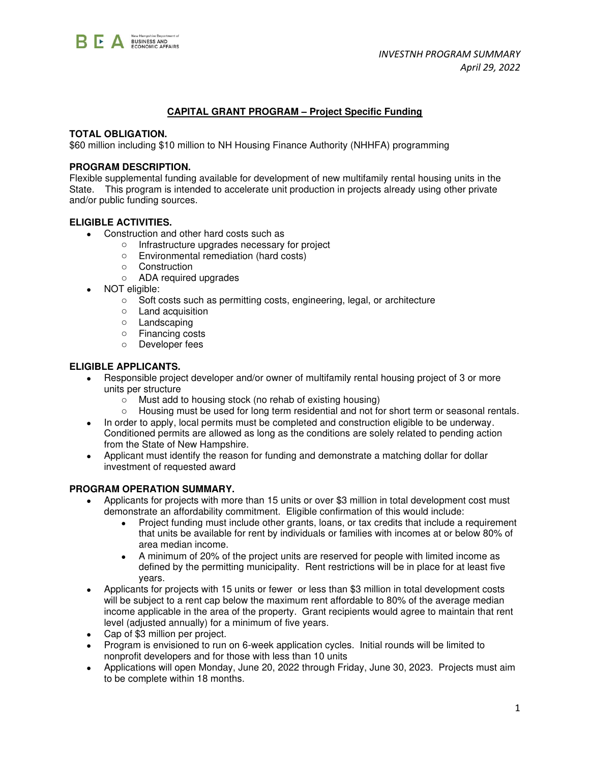

## **CAPITAL GRANT PROGRAM – Project Specific Funding**

#### **TOTAL OBLIGATION.**

\$60 million including \$10 million to NH Housing Finance Authority (NHHFA) programming

#### **PROGRAM DESCRIPTION.**

Flexible supplemental funding available for development of new multifamily rental housing units in the State. This program is intended to accelerate unit production in projects already using other private and/or public funding sources.

#### **ELIGIBLE ACTIVITIES.**

- Construction and other hard costs such as
	- o Infrastructure upgrades necessary for project
	- o Environmental remediation (hard costs)
	- o Construction
	- o ADA required upgrades
- NOT eligible:
	- o Soft costs such as permitting costs, engineering, legal, or architecture
	- o Land acquisition
	- o Landscaping
	- o Financing costs
	- o Developer fees

#### **ELIGIBLE APPLICANTS.**

- Responsible project developer and/or owner of multifamily rental housing project of 3 or more units per structure
	- o Must add to housing stock (no rehab of existing housing)
	- o Housing must be used for long term residential and not for short term or seasonal rentals.
- In order to apply, local permits must be completed and construction eligible to be underway. Conditioned permits are allowed as long as the conditions are solely related to pending action from the State of New Hampshire.
- Applicant must identify the reason for funding and demonstrate a matching dollar for dollar investment of requested award

#### **PROGRAM OPERATION SUMMARY.**

- Applicants for projects with more than 15 units or over \$3 million in total development cost must demonstrate an affordability commitment. Eligible confirmation of this would include:
	- Project funding must include other grants, loans, or tax credits that include a requirement that units be available for rent by individuals or families with incomes at or below 80% of area median income.
	- A minimum of 20% of the project units are reserved for people with limited income as defined by the permitting municipality. Rent restrictions will be in place for at least five years.
- Applicants for projects with 15 units or fewer or less than \$3 million in total development costs will be subject to a rent cap below the maximum rent affordable to 80% of the average median income applicable in the area of the property. Grant recipients would agree to maintain that rent level (adjusted annually) for a minimum of five years.
- Cap of \$3 million per project.
- Program is envisioned to run on 6-week application cycles. Initial rounds will be limited to nonprofit developers and for those with less than 10 units
- Applications will open Monday, June 20, 2022 through Friday, June 30, 2023. Projects must aim to be complete within 18 months.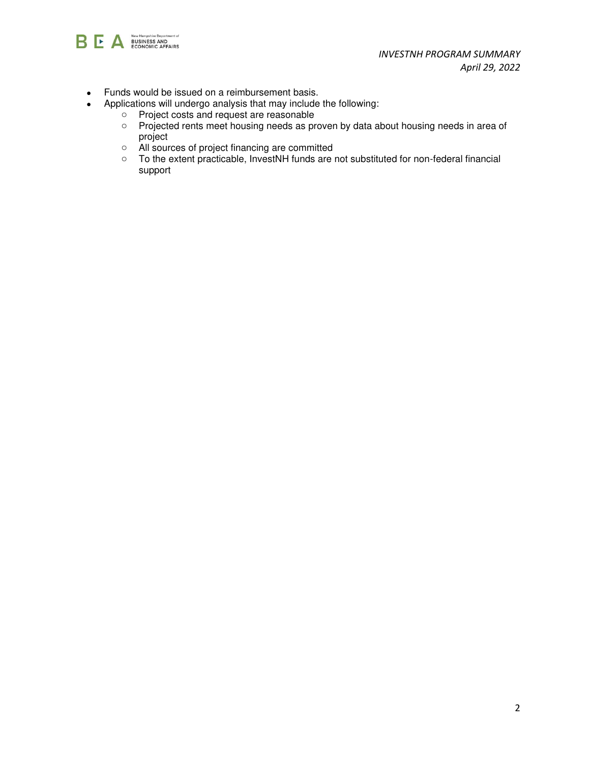

- Funds would be issued on a reimbursement basis.
- Applications will undergo analysis that may include the following:
	- o Project costs and request are reasonable
	- o Projected rents meet housing needs as proven by data about housing needs in area of project
	- o All sources of project financing are committed
	- o To the extent practicable, InvestNH funds are not substituted for non-federal financial support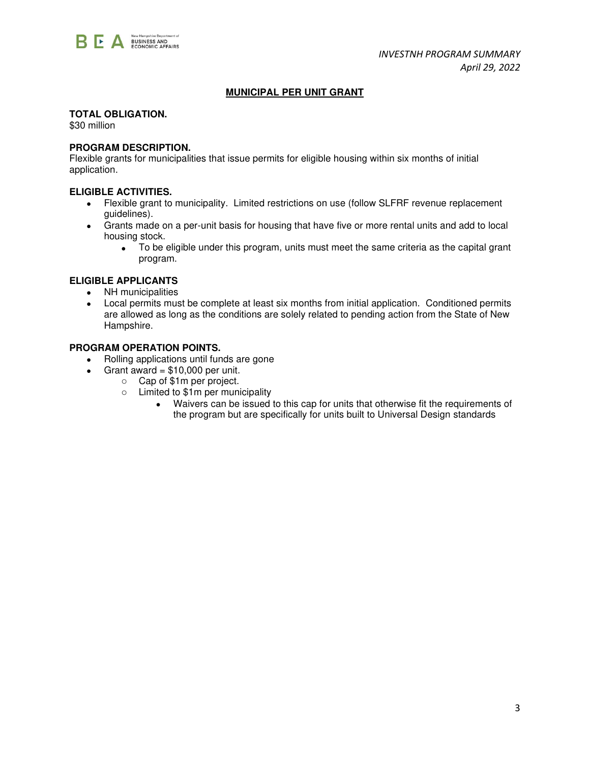

## **MUNICIPAL PER UNIT GRANT**

## **TOTAL OBLIGATION.**

\$30 million

## **PROGRAM DESCRIPTION.**

Flexible grants for municipalities that issue permits for eligible housing within six months of initial application.

## **ELIGIBLE ACTIVITIES.**

- Flexible grant to municipality. Limited restrictions on use (follow SLFRF revenue replacement guidelines).
- Grants made on a per-unit basis for housing that have five or more rental units and add to local housing stock.
	- To be eligible under this program, units must meet the same criteria as the capital grant program.

## **ELIGIBLE APPLICANTS**

- NH municipalities
- Local permits must be complete at least six months from initial application. Conditioned permits are allowed as long as the conditions are solely related to pending action from the State of New Hampshire.

## **PROGRAM OPERATION POINTS.**

- Rolling applications until funds are gone
- Grant award  $= $10,000$  per unit.
	- o Cap of \$1m per project.
	- o Limited to \$1m per municipality
		- Waivers can be issued to this cap for units that otherwise fit the requirements of the program but are specifically for units built to Universal Design standards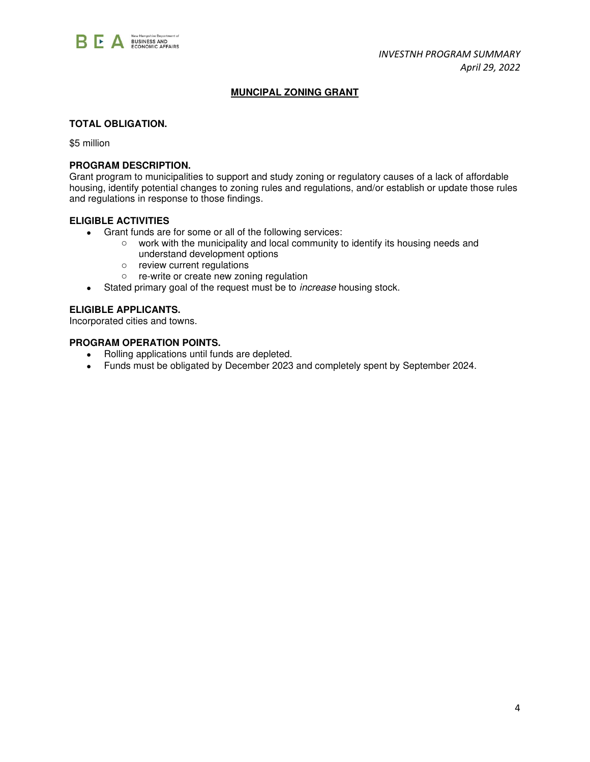

# **MUNCIPAL ZONING GRANT**

#### **TOTAL OBLIGATION.**

\$5 million

#### **PROGRAM DESCRIPTION.**

Grant program to municipalities to support and study zoning or regulatory causes of a lack of affordable housing, identify potential changes to zoning rules and regulations, and/or establish or update those rules and regulations in response to those findings.

#### **ELIGIBLE ACTIVITIES**

- Grant funds are for some or all of the following services:
	- o work with the municipality and local community to identify its housing needs and understand development options
	- o review current regulations
	- o re-write or create new zoning regulation
- Stated primary goal of the request must be to *increase* housing stock.

## **ELIGIBLE APPLICANTS.**

Incorporated cities and towns.

#### **PROGRAM OPERATION POINTS.**

- Rolling applications until funds are depleted.
- Funds must be obligated by December 2023 and completely spent by September 2024.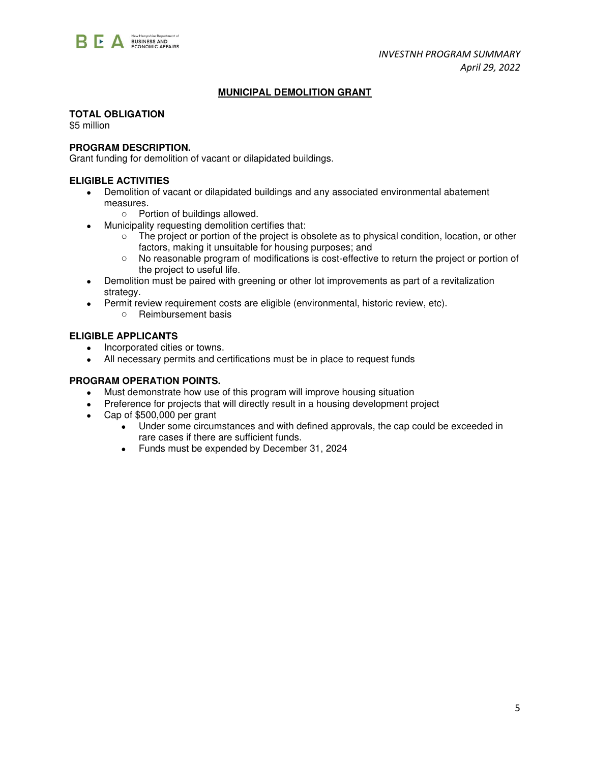

# **MUNICIPAL DEMOLITION GRANT**

## **TOTAL OBLIGATION**

\$5 million

# **PROGRAM DESCRIPTION.**

Grant funding for demolition of vacant or dilapidated buildings.

## **ELIGIBLE ACTIVITIES**

- Demolition of vacant or dilapidated buildings and any associated environmental abatement measures.
	- o Portion of buildings allowed.
- Municipality requesting demolition certifies that:
	- o The project or portion of the project is obsolete as to physical condition, location, or other factors, making it unsuitable for housing purposes; and
	- o No reasonable program of modifications is cost-effective to return the project or portion of the project to useful life.
- Demolition must be paired with greening or other lot improvements as part of a revitalization strategy.
- Permit review requirement costs are eligible (environmental, historic review, etc).
	- o Reimbursement basis

## **ELIGIBLE APPLICANTS**

- Incorporated cities or towns.
- All necessary permits and certifications must be in place to request funds

#### **PROGRAM OPERATION POINTS.**

- Must demonstrate how use of this program will improve housing situation
- Preference for projects that will directly result in a housing development project
- Cap of \$500,000 per grant
	- Under some circumstances and with defined approvals, the cap could be exceeded in rare cases if there are sufficient funds.
	- Funds must be expended by December 31, 2024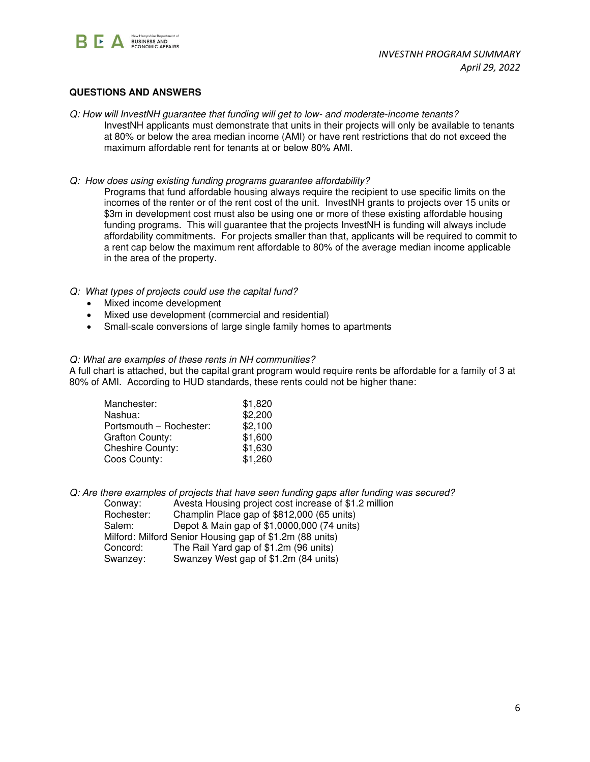

# **QUESTIONS AND ANSWERS**

- *Q: How will InvestNH guarantee that funding will get to low- and moderate-income tenants?*  InvestNH applicants must demonstrate that units in their projects will only be available to tenants at 80% or below the area median income (AMI) or have rent restrictions that do not exceed the maximum affordable rent for tenants at or below 80% AMI.
- *Q: How does using existing funding programs guarantee affordability?*

Programs that fund affordable housing always require the recipient to use specific limits on the incomes of the renter or of the rent cost of the unit. InvestNH grants to projects over 15 units or \$3m in development cost must also be using one or more of these existing affordable housing funding programs. This will guarantee that the projects InvestNH is funding will always include affordability commitments. For projects smaller than that, applicants will be required to commit to a rent cap below the maximum rent affordable to 80% of the average median income applicable in the area of the property.

- *Q: What types of projects could use the capital fund?* 
	- Mixed income development
	- Mixed use development (commercial and residential)
	- Small-scale conversions of large single family homes to apartments

#### *Q: What are examples of these rents in NH communities?*

A full chart is attached, but the capital grant program would require rents be affordable for a family of 3 at 80% of AMI. According to HUD standards, these rents could not be higher thane:

| Manchester:             | \$1,820 |
|-------------------------|---------|
| Nashua:                 | \$2,200 |
| Portsmouth - Rochester: | \$2,100 |
| <b>Grafton County:</b>  | \$1,600 |
| Cheshire County:        | \$1,630 |
| Coos County:            | \$1,260 |

*Q: Are there examples of projects that have seen funding gaps after funding was secured?* 

Conway: Avesta Housing project cost increase of \$1.2 million<br>Rochester: Champlin Place gap of \$812.000 (65 units) Champlin Place gap of \$812,000 (65 units) Salem: Depot & Main gap of \$1,0000,000 (74 units) Milford: Milford Senior Housing gap of \$1.2m (88 units) Concord: The Rail Yard gap of \$1.2m (96 units) Swanzey: Swanzey West gap of \$1.2m (84 units)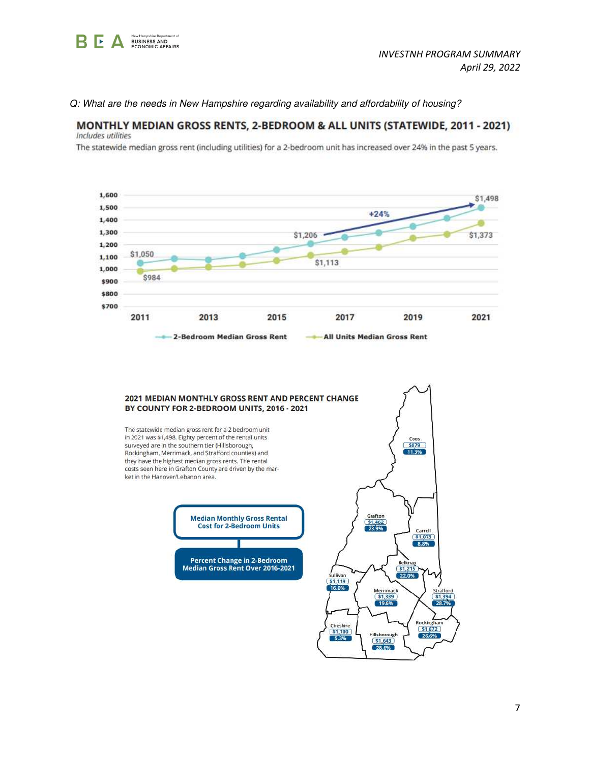

#### Q: What are the needs in New Hampshire regarding availability and affordability of housing?

#### MONTHLY MEDIAN GROSS RENTS, 2-BEDROOM & ALL UNITS (STATEWIDE, 2011 - 2021) Includes utilities

The statewide median gross rent (including utilities) for a 2-bedroom unit has increased over 24% in the past 5 years.



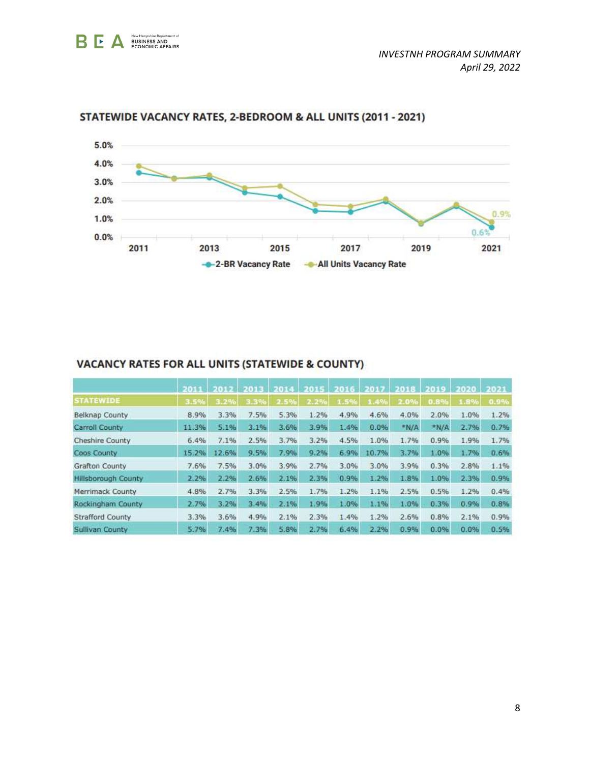



# STATEWIDE VACANCY RATES, 2-BEDROOM & ALL UNITS (2011 - 2021)

|  | VACANCY RATES FOR ALL UNITS (STATEWIDE & COUNTY) |  |
|--|--------------------------------------------------|--|
|  |                                                  |  |

|                            | 2011  |       |      | 1014 | 103.45 |      |       | 2018 | 2019 | 2020 | 2021 |
|----------------------------|-------|-------|------|------|--------|------|-------|------|------|------|------|
| <b>STATEWIDE</b>           | 3.5%  | 3.2%  | 3.3% | 2.5% | 2.2%   | 1.5% | 1.4%  | 2.0% | 0.8% | 1.8% | 0.9% |
| <b>Belknap County</b>      | 8.9%  | 3.3%  | 7.5% | 5.3% | 1.2%   | 4.9% | 4.6%  | 4.0% | 2.0% | 1.0% | 1.2% |
| Carroll County             | 11.3% | 5.1%  | 3.1% | 3.6% | 3.9%   | 1.4% | 0.0%  | N/A  | *N/A | 2.7% | 0.7% |
| <b>Cheshire County</b>     | 6.4%  | 7.1%  | 2.5% | 3.7% | 3.2%   | 4.5% | 1.0%  | 1.7% | 0.9% | 1.9% | 1.7% |
| Coos County                | 15.2% | 12.6% | 9.5% | 7.9% | 9.2%   | 6.9% | 10.7% | 3.7% | 1.0% | 1.7% | 0.6% |
| <b>Grafton County</b>      | 7.6%  | 7.5%  | 3.0% | 3.9% | 2.7%   | 3.0% | 3.0%  | 3.9% | 0.3% | 2.8% | 1.1% |
| <b>Hillsborough County</b> | 2.2%  | 2.2%  | 2.6% | 2.1% | 2.3%   | 0.9% | 1.2%  | 1.8% | 1.0% | 2.3% | 0.9% |
| Merrimack County           | 4.8%  | 2.7%  | 3.3% | 2.5% | 1.7%   | 1.2% | 1.1%  | 2.5% | 0.5% | 1.2% | 0.4% |
| <b>Rockingham County</b>   | 2.7%  | 3.2%  | 3.4% | 2.1% | 1.9%   | 1.0% | 1.1%  | 1.0% | 0.3% | 0.9% | 0.8% |
| <b>Strafford County</b>    | 3.3%  | 3.6%  | 4.9% | 2.1% | 2.3%   | 1.4% | 1.2%  | 2.6% | 0.8% | 2.1% | 0.9% |
| Sullivan County            | 5.7%  | 7.4%  | 7.3% | 5.8% | 2.7%   | 6.4% | 2.2%  | 0.9% | 0.0% | 0.0% | 0.5% |